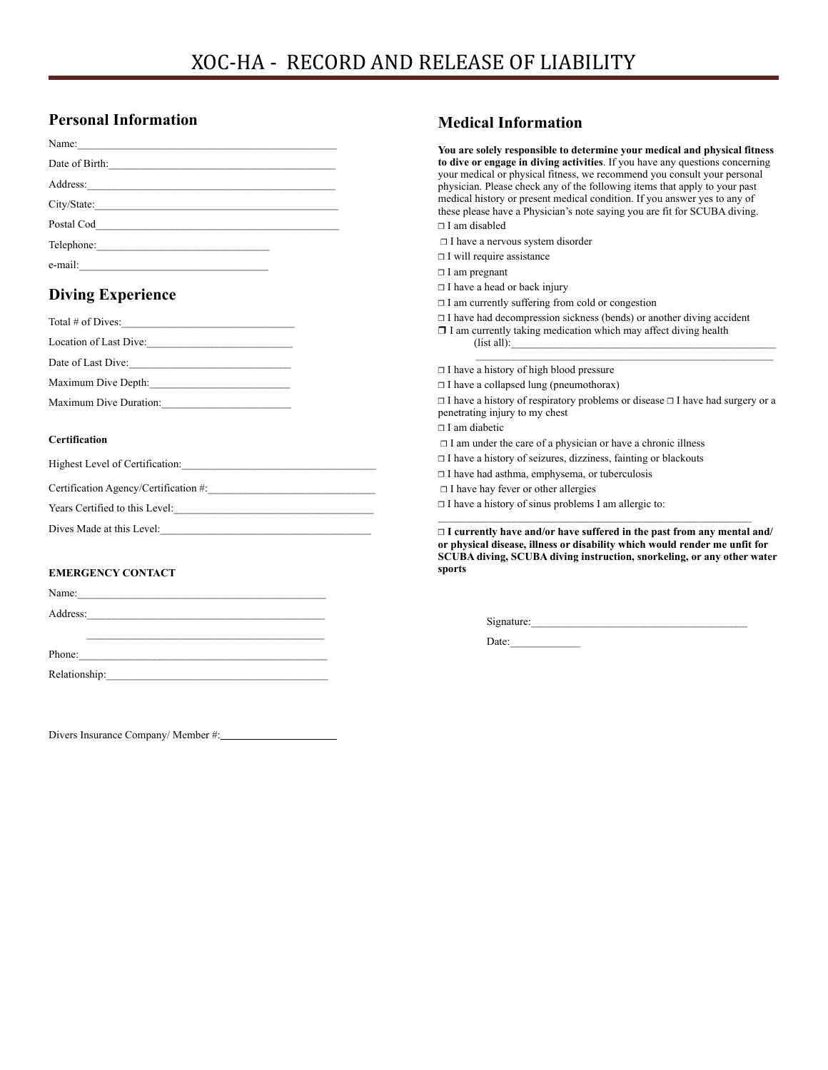# **Personal Information**

| Date of Birth: |
|----------------|
|                |
| City/State:    |
|                |
|                |
|                |
|                |

# **Diving Experience**

| Total # of Dives:      |  |
|------------------------|--|
| Location of Last Dive: |  |
| Date of Last Dive:     |  |
| Maximum Dive Depth:    |  |
| Maximum Dive Duration: |  |
|                        |  |

## **Certification**

| Highest Level of Certification:       |
|---------------------------------------|
| Certification Agency/Certification #: |
| Years Certified to this Level:        |
| Dives Made at this Level:             |

### **EMERGENCY CONTACT**

| Name:    |                                                                                                                                                                                                                                |  |  |
|----------|--------------------------------------------------------------------------------------------------------------------------------------------------------------------------------------------------------------------------------|--|--|
| Address: |                                                                                                                                                                                                                                |  |  |
|          |                                                                                                                                                                                                                                |  |  |
|          |                                                                                                                                                                                                                                |  |  |
|          | Phone:                                                                                                                                                                                                                         |  |  |
|          | Relationship: Network and the set of the set of the set of the set of the set of the set of the set of the set of the set of the set of the set of the set of the set of the set of the set of the set of the set of the set o |  |  |
|          |                                                                                                                                                                                                                                |  |  |

Divers Insurance Company/ Member #:

# **Medical Information**

| You are solely responsible to determine your medical and physical fitness<br>to dive or engage in diving activities. If you have any questions concerning<br>your medical or physical fitness, we recommend you consult your personal<br>physician. Please check any of the following items that apply to your past<br>medical history or present medical condition. If you answer yes to any of<br>these please have a Physician's note saying you are fit for SCUBA diving.<br>$\sqcap$ I am disabled |
|---------------------------------------------------------------------------------------------------------------------------------------------------------------------------------------------------------------------------------------------------------------------------------------------------------------------------------------------------------------------------------------------------------------------------------------------------------------------------------------------------------|
| $\Box$ I have a nervous system disorder                                                                                                                                                                                                                                                                                                                                                                                                                                                                 |
| $\Box$ I will require assistance                                                                                                                                                                                                                                                                                                                                                                                                                                                                        |
| $\Box$ I am pregnant                                                                                                                                                                                                                                                                                                                                                                                                                                                                                    |
| $\Box$ I have a head or back injury                                                                                                                                                                                                                                                                                                                                                                                                                                                                     |
| □ I am currently suffering from cold or congestion                                                                                                                                                                                                                                                                                                                                                                                                                                                      |
| $\Box$ I have had decompression sickness (bends) or another diving accident<br>$\Box$ I am currently taking medication which may affect diving health<br>(list all):                                                                                                                                                                                                                                                                                                                                    |
| $\Box$ I have a history of high blood pressure                                                                                                                                                                                                                                                                                                                                                                                                                                                          |
| $\Box$ I have a collapsed lung (pneumothorax)                                                                                                                                                                                                                                                                                                                                                                                                                                                           |
| $\Box$ I have a history of respiratory problems or disease $\Box$ I have had surgery or a<br>penetrating injury to my chest<br>$\sqcap$ I am diabetic                                                                                                                                                                                                                                                                                                                                                   |
| $\Box$ I am under the care of a physician or have a chronic illness                                                                                                                                                                                                                                                                                                                                                                                                                                     |
| $\Box$ I have a history of seizures, dizziness, fainting or blackouts                                                                                                                                                                                                                                                                                                                                                                                                                                   |
| $\Box$ I have had asthma, emphysema, or tuberculosis                                                                                                                                                                                                                                                                                                                                                                                                                                                    |
| $\Box$ I have hay fever or other allergies                                                                                                                                                                                                                                                                                                                                                                                                                                                              |
| $\Box$ I have a history of sinus problems I am allergic to:                                                                                                                                                                                                                                                                                                                                                                                                                                             |

**❒ I currently have and/or have suffered in the past from any mental and/ or physical disease, illness or disability which would render me unfit for SCUBA diving, SCUBA diving instruction, snorkeling, or any other water sports** 

Signature:\_\_\_\_\_\_\_\_\_\_\_\_\_\_\_\_\_\_\_\_\_\_\_\_\_\_\_\_\_\_\_\_\_\_\_\_\_\_\_\_

Date:\_\_\_\_\_\_\_\_\_\_\_\_\_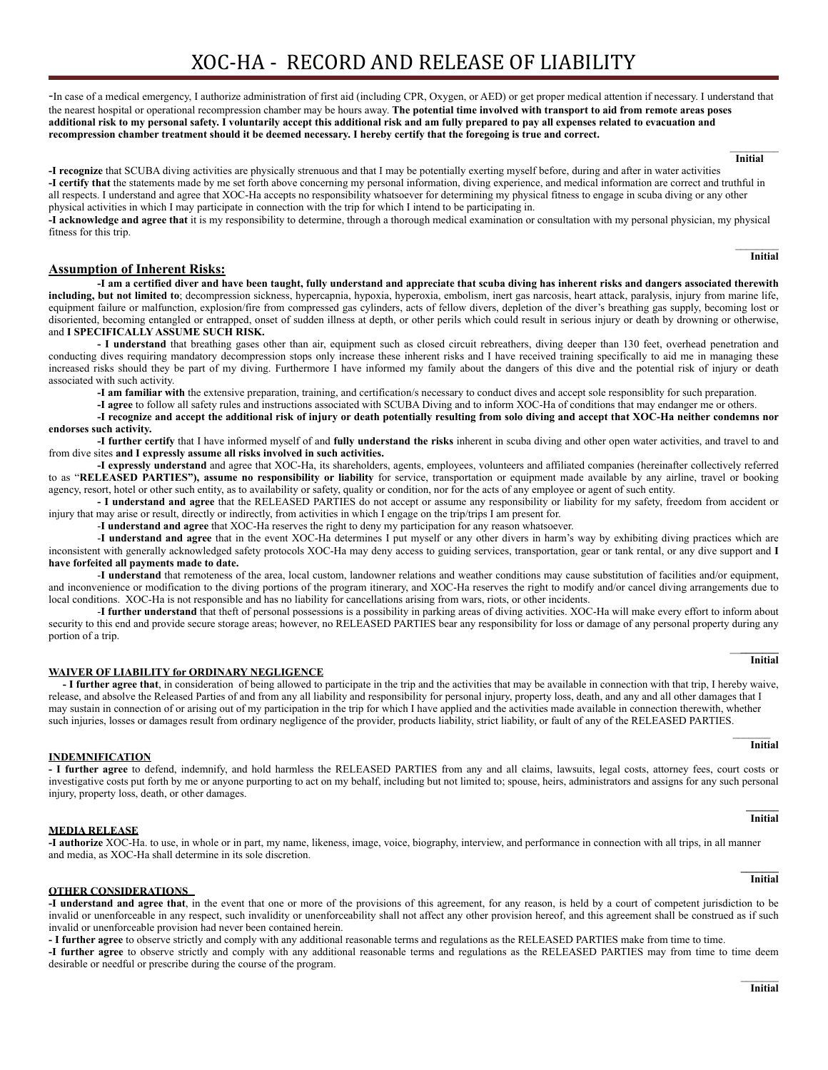-In case of a medical emergency, I authorize administration of first aid (including CPR, Oxygen, or AED) or get proper medical attention if necessary. I understand that the nearest hospital or operational recompression chamber may be hours away. **The potential time involved with transport to aid from remote areas poses additional risk to my personal safety. I voluntarily accept this additional risk and am fully prepared to pay all expenses related to evacuation and recompression chamber treatment should it be deemed necessary. I hereby certify that the foregoing is true and correct.** 

 $\mathcal{L}_\text{max}$  **Initial** 

**-I recognize** that SCUBA diving activities are physically strenuous and that I may be potentially exerting myself before, during and after in water activities **-I certify that** the statements made by me set forth above concerning my personal information, diving experience, and medical information are correct and truthful in all respects. I understand and agree that XOC-Ha accepts no responsibility whatsoever for determining my physical fitness to engage in scuba diving or any other physical activities in which I may participate in connection with the trip for which I intend to be participating in.

**-I acknowledge and agree that** it is my responsibility to determine, through a thorough medical examination or consultation with my personal physician, my physical fitness for this trip.

> $\mathcal{L}_\text{max}$ **Initial**

### **Assumption of Inherent Risks:**

**-I am a certified diver and have been taught, fully understand and appreciate that scuba diving has inherent risks and dangers associated therewith including, but not limited to**; decompression sickness, hypercapnia, hypoxia, hyperoxia, embolism, inert gas narcosis, heart attack, paralysis, injury from marine life, equipment failure or malfunction, explosion/fire from compressed gas cylinders, acts of fellow divers, depletion of the diver's breathing gas supply, becoming lost or disoriented, becoming entangled or entrapped, onset of sudden illness at depth, or other perils which could result in serious injury or death by drowning or otherwise, and **I SPECIFICALLY ASSUME SUCH RISK.** 

**- I understand** that breathing gases other than air, equipment such as closed circuit rebreathers, diving deeper than 130 feet, overhead penetration and conducting dives requiring mandatory decompression stops only increase these inherent risks and I have received training specifically to aid me in managing these increased risks should they be part of my diving. Furthermore I have informed my family about the dangers of this dive and the potential risk of injury or death associated with such activity.

**-I am familiar with** the extensive preparation, training, and certification/s necessary to conduct dives and accept sole responsiblity for such preparation.

**-I agree** to follow all safety rules and instructions associated with SCUBA Diving and to inform XOC-Ha of conditions that may endanger me or others.

**-I recognize and accept the additional risk of injury or death potentially resulting from solo diving and accept that XOC-Ha neither condemns nor endorses such activity.** 

**-I further certify** that I have informed myself of and **fully understand the risks** inherent in scuba diving and other open water activities, and travel to and from dive sites **and I expressly assume all risks involved in such activities.** 

**-I expressly understand** and agree that XOC-Ha, its shareholders, agents, employees, volunteers and affiliated companies (hereinafter collectively referred to as "**RELEASED PARTIES"), assume no responsibility or liability** for service, transportation or equipment made available by any airline, travel or booking agency, resort, hotel or other such entity, as to availability or safety, quality or condition, nor for the acts of any employee or agent of such entity.

**- I understand and agree** that the RELEASED PARTIES do not accept or assume any responsibility or liability for my safety, freedom from accident or injury that may arise or result, directly or indirectly, from activities in which I engage on the trip/trips I am present for.

-**I understand and agree** that XOC-Ha reserves the right to deny my participation for any reason whatsoever.

-**I understand and agree** that in the event XOC-Ha determines I put myself or any other divers in harm's way by exhibiting diving practices which are inconsistent with generally acknowledged safety protocols XOC-Ha may deny access to guiding services, transportation, gear or tank rental, or any dive support and **I have forfeited all payments made to date.**

-**I understand** that remoteness of the area, local custom, landowner relations and weather conditions may cause substitution of facilities and/or equipment, and inconvenience or modification to the diving portions of the program itinerary, and XOC-Ha reserves the right to modify and/or cancel diving arrangements due to local conditions. XOC-Ha is not responsible and has no liability for cancellations arising from wars, riots, or other incidents.

-**I further understand** that theft of personal possessions is a possibility in parking areas of diving activities. XOC-Ha will make every effort to inform about security to this end and provide secure storage areas; however, no RELEASED PARTIES bear any responsibility for loss or damage of any personal property during any portion of a trip.

#### **WAIVER OF LIABILITY for ORDINARY NEGLIGENCE**

**- I further agree that**, in consideration of being allowed to participate in the trip and the activities that may be available in connection with that trip, I hereby waive, release, and absolve the Released Parties of and from any all liability and responsibility for personal injury, property loss, death, and any and all other damages that I may sustain in connection of or arising out of my participation in the trip for which I have applied and the activities made available in connection therewith, whether such injuries, losses or damages result from ordinary negligence of the provider, products liability, strict liability, or fault of any of the RELEASED PARTIES.

\_\_\_\_\_\_\_

#### **INDEMNIFICATION**

**- I further agree** to defend, indemnify, and hold harmless the RELEASED PARTIES from any and all claims, lawsuits, legal costs, attorney fees, court costs or investigative costs put forth by me or anyone purporting to act on my behalf, including but not limited to; spouse, heirs, administrators and assigns for any such personal injury, property loss, death, or other damages. **\_\_\_\_\_\_** 

 **Initial** 

### **MEDIA RELEASE**

#### **-I authorize** XOC-Ha. to use, in whole or in part, my name, likeness, image, voice, biography, interview, and performance in connection with all trips, in all manner and media, as XOC-Ha shall determine in its sole discretion.

#### **OTHER CONSIDERATIONS**

**-I understand and agree that**, in the event that one or more of the provisions of this agreement, for any reason, is held by a court of competent jurisdiction to be invalid or unenforceable in any respect, such invalidity or unenforceability shall not affect any other provision hereof, and this agreement shall be construed as if such invalid or unenforceable provision had never been contained herein.

**- I further agree** to observe strictly and comply with any additional reasonable terms and regulations as the RELEASED PARTIES make from time to time.

**-I further agree** to observe strictly and comply with any additional reasonable terms and regulations as the RELEASED PARTIES may from time to time deem desirable or needful or prescribe during the course of the program.

#### $\mathcal{L}=\mathcal{L}$ **Initial**

#### **\_\_\_\_\_\_\_ Initial**

**Initial** 

#### $\mathcal{L}_\text{max}$  and  $\mathcal{L}_\text{max}$  are the set of the set of the set of the set of the set of the set of the set of the set of the set of the set of the set of the set of the set of the set of the set of the set of the set o  **Initial**